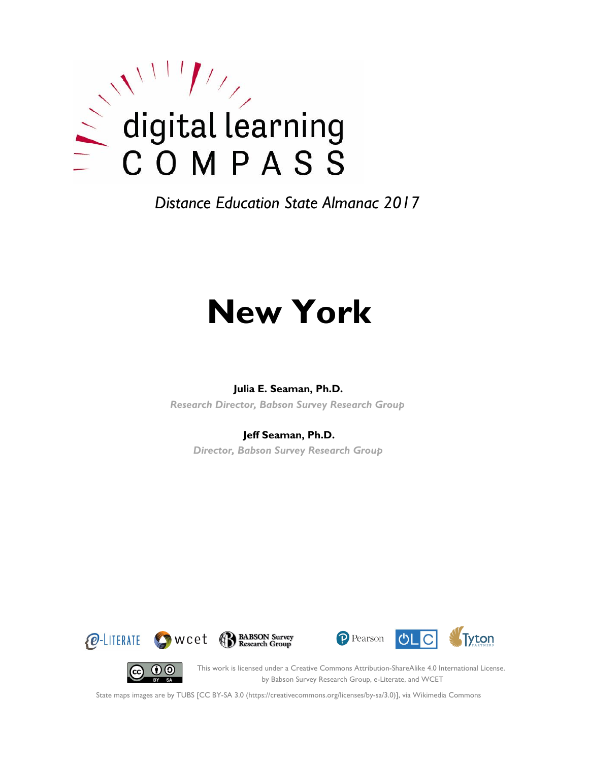

*Distance Education State Almanac 2017*

# **New York**

#### **Julia E. Seaman, Ph.D.**

*Research Director, Babson Survey Research Group*

#### **Jeff Seaman, Ph.D.**

*Director, Babson Survey Research Group*







(cc)

This work is licensed under a Creative Commons Attribution-ShareAlike 4.0 International License. by Babson Survey Research Group, e-Literate, and WCET

State maps images are by TUBS [CC BY-SA 3.0 (https://creativecommons.org/licenses/by-sa/3.0)], via Wikimedia Commons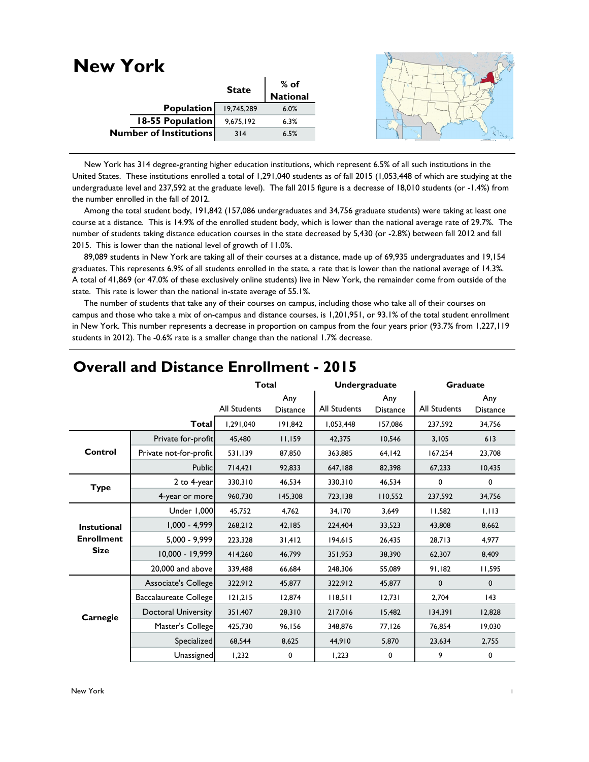| <b>New York</b>               |              |                  |  |
|-------------------------------|--------------|------------------|--|
|                               | <b>State</b> | % of<br>National |  |
|                               |              |                  |  |
| Population                    | 19,745,289   | 6.0%             |  |
| <b>18-55 Population</b>       | 9,675,192    | 6.3%             |  |
| <b>Number of Institutions</b> | 314          | 6.5%             |  |
|                               |              |                  |  |

 New York has 314 degree-granting higher education institutions, which represent 6.5% of all such institutions in the United States. These institutions enrolled a total of 1,291,040 students as of fall 2015 (1,053,448 of which are studying at the undergraduate level and 237,592 at the graduate level). The fall 2015 figure is a decrease of 18,010 students (or -1.4%) from the number enrolled in the fall of 2012.

 Among the total student body, 191,842 (157,086 undergraduates and 34,756 graduate students) were taking at least one course at a distance. This is 14.9% of the enrolled student body, which is lower than the national average rate of 29.7%. The number of students taking distance education courses in the state decreased by 5,430 (or -2.8%) between fall 2012 and fall 2015. This is lower than the national level of growth of 11.0%.

 89,089 students in New York are taking all of their courses at a distance, made up of 69,935 undergraduates and 19,154 graduates. This represents 6.9% of all students enrolled in the state, a rate that is lower than the national average of 14.3%. A total of 41,869 (or 47.0% of these exclusively online students) live in New York, the remainder come from outside of the state. This rate is lower than the national in-state average of 55.1%.

 The number of students that take any of their courses on campus, including those who take all of their courses on campus and those who take a mix of on-campus and distance courses, is 1,201,951, or 93.1% of the total student enrollment in New York. This number represents a decrease in proportion on campus from the four years prior (93.7% from 1,227,119 students in 2012). The -0.6% rate is a smaller change than the national 1.7% decrease.

|                    |                            | <b>Total</b>        |                        | Undergraduate |                        | <b>Graduate</b> |                        |
|--------------------|----------------------------|---------------------|------------------------|---------------|------------------------|-----------------|------------------------|
|                    |                            | <b>All Students</b> | Any<br><b>Distance</b> | All Students  | Any<br><b>Distance</b> | All Students    | Any<br><b>Distance</b> |
|                    | <b>Total</b>               | 1.291.040           | 191.842                | 1,053,448     | 157.086                | 237.592         | 34,756                 |
|                    | Private for-profit         | 45,480              | 11,159                 | 42,375        | 10,546                 | 3,105           | 613                    |
| Control            | Private not-for-profit     | 531,139             | 87,850                 | 363,885       | 64,142                 | 167,254         | 23,708                 |
|                    | Public                     | 714,421             | 92,833                 | 647,188       | 82,398                 | 67,233          | 10,435                 |
| <b>Type</b>        | 2 to 4-year                | 330,310             | 46,534                 | 330,310       | 46,534                 | 0               | 0                      |
|                    | 4-year or more             | 960,730             | 145,308                | 723,138       | 110,552                | 237,592         | 34,756                 |
|                    | Under 1,000                | 45,752              | 4,762                  | 34,170        | 3,649                  | 11,582          | 1,113                  |
| <b>Instutional</b> | $1,000 - 4,999$            | 268,212             | 42,185                 | 224,404       | 33,523                 | 43,808          | 8,662                  |
| <b>Enrollment</b>  | 5,000 - 9,999              | 223,328             | 31,412                 | 194,615       | 26,435                 | 28,713          | 4,977                  |
| <b>Size</b>        | 10,000 - 19,999            | 414,260             | 46,799                 | 351,953       | 38,390                 | 62,307          | 8,409                  |
|                    | 20,000 and above           | 339,488             | 66,684                 | 248,306       | 55.089                 | 91,182          | 11,595                 |
|                    | Associate's College        | 322,912             | 45,877                 | 322,912       | 45,877                 | $\mathbf 0$     | $\mathbf 0$            |
|                    | Baccalaureate College      | 121,215             | 12,874                 | 118,511       | 12,731                 | 2,704           | 143                    |
| Carnegie           | <b>Doctoral University</b> | 351,407             | 28,310                 | 217,016       | 15,482                 | 134,391         | 12,828                 |
|                    | Master's College           | 425,730             | 96,156                 | 348,876       | 77,126                 | 76,854          | 19,030                 |
|                    | Specialized                | 68,544              | 8,625                  | 44,910        | 5,870                  | 23,634          | 2,755                  |
|                    | Unassigned                 | 1,232               | 0                      | 1,223         | 0                      | 9               | 0                      |

## **Overall and Distance Enrollment - 2015**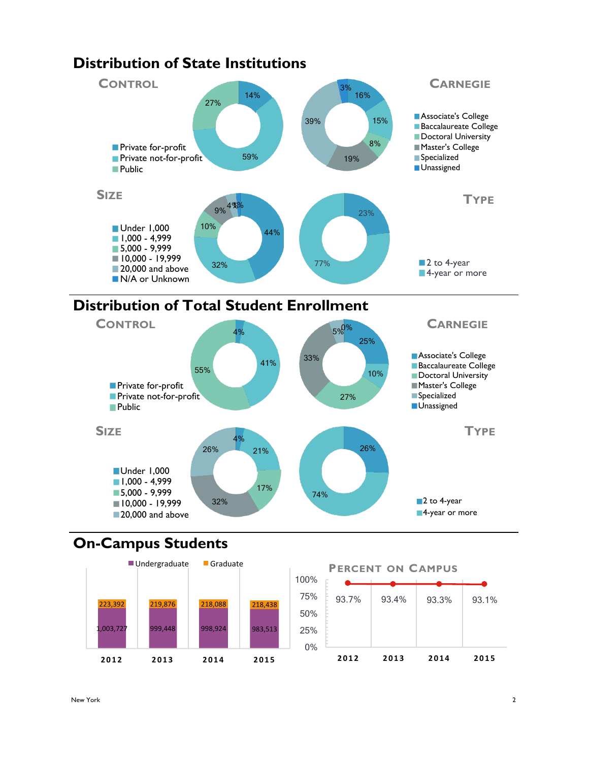

## **On-Campus Students**

Under 1,000 **1,000 - 4,999** 5,000 - 9,999  $10,000 - 19,999$ 20,000 and above

**SIZE**



 $4%$ 

32%

26%

21%

17%



26%

74%

**TYPE**

■2 to 4-year ■4-year or more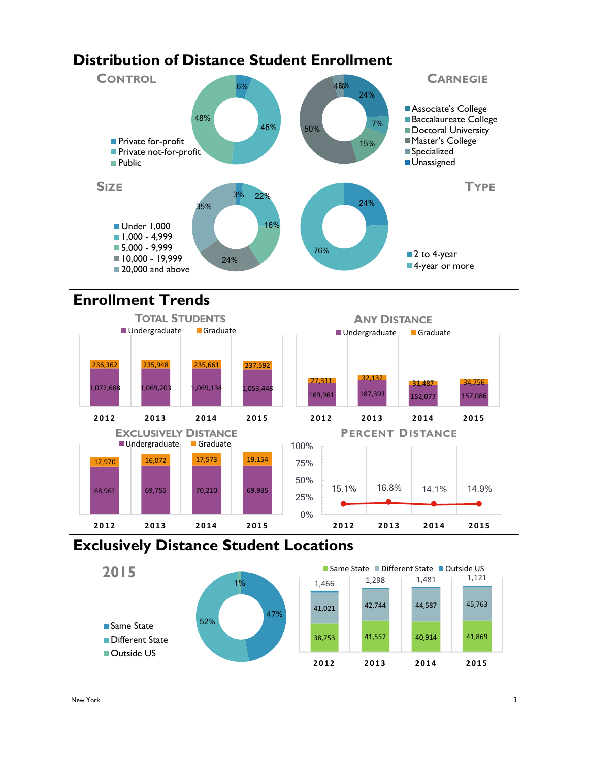## **Distribution of Distance Student Enrollment**



## **Enrollment Trends**



## **Exclusively Distance Student Locations**